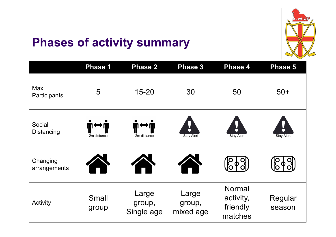

### **Phases of activity summary**

|                            | <b>Phase 1</b>        | <b>Phase 2</b>                | <b>Phase 3</b>               | <b>Phase 4</b>                             | <b>Phase 5</b>    |
|----------------------------|-----------------------|-------------------------------|------------------------------|--------------------------------------------|-------------------|
| <b>Max</b><br>Participants | 5                     | $15 - 20$                     | 30                           | 50                                         | $50+$             |
| Social<br>Distancing       | 2m distance           | 2m distance                   | <b>Stay Alert</b>            | $\bullet$<br><b>Stay Alert</b>             | <b>Stay Alert</b> |
| Changing<br>arrangements   |                       |                               |                              |                                            |                   |
| Activity                   | <b>Small</b><br>group | Large<br>group,<br>Single age | Large<br>group,<br>mixed age | Normal<br>activity,<br>friendly<br>matches | Regular<br>season |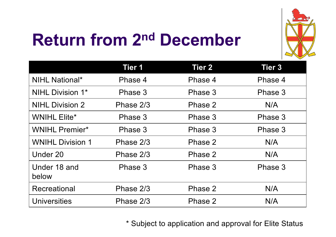

# **Return from 2nd December**

|                         | <b>Tier 1</b> | <b>Tier 2</b> | <b>Tier 3</b> |
|-------------------------|---------------|---------------|---------------|
| <b>NIHL National*</b>   | Phase 4       | Phase 4       | Phase 4       |
| <b>NIHL Division 1*</b> | Phase 3       | Phase 3       | Phase 3       |
| <b>NIHL Division 2</b>  | Phase 2/3     | Phase 2       | N/A           |
| <b>WNIHL Elite*</b>     | Phase 3       | Phase 3       | Phase 3       |
| <b>WNIHL Premier*</b>   | Phase 3       | Phase 3       | Phase 3       |
| <b>WNIHL Division 1</b> | Phase 2/3     | Phase 2       | N/A           |
| Under 20                | Phase 2/3     | Phase 2       | N/A           |
| Under 18 and<br>below   | Phase 3       | Phase 3       | Phase 3       |
| Recreational            | Phase 2/3     | Phase 2       | N/A           |
| <b>Universities</b>     | Phase 2/3     | Phase 2       | N/A           |

\* Subject to application and approval for Elite Status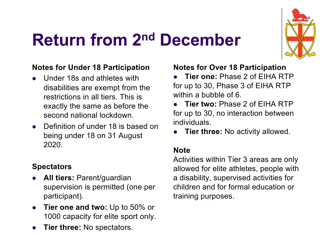

### **Return from 2nd December**

#### **Notes for Under 18 Participation**

- $\bullet$  Under 18s and athletes with disabilities are exempt from the restrictions in all tiers. This is exactly the same as before the second national lockdown
- Definition of under 18 is based on being under 18 on 31 August 2020.

#### **Spectators**

- **All tiers: Parent/guardian** supervision is permitted (one per participant).
- **Tier one and two:** Up to 50% or 1000 capacity for elite sport only.
- **Tier three: No spectators.**

#### **Notes for Over 18 Participation**

- l **Tier one:** Phase 2 of EIHA RTP for up to 30, Phase 3 of EIHA RTP within a bubble of 6.
- **Tier two: Phase 2 of FIHA RTP** for up to 30, no interaction between individuals.
- **Tier three:** No activity allowed.

#### **Note**

Activities within Tier 3 areas are only allowed for elite athletes, people with a disability, supervised activities for children and for formal education or training purposes.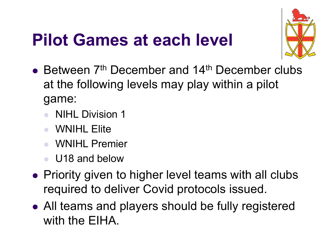### **Pilot Games at each level**



- $\bullet$  Between  $7<sup>th</sup>$  December and 14<sup>th</sup> December clubs at the following levels may play within a pilot game:
	- **NIHL Division 1**
	- **WNIHL Elite**
	- WNIHL Premier
	- <sup>l</sup> U18 and below
- Priority given to higher level teams with all clubs required to deliver Covid protocols issued.
- All teams and players should be fully registered with the EIHA.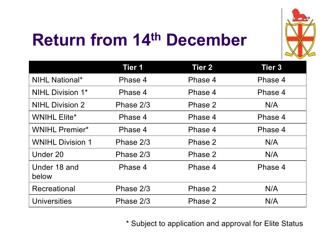

# **Return from 14th December**

|                         | <b>Tier 1</b> | <b>Tier 2</b> | <b>Tier 3</b> |
|-------------------------|---------------|---------------|---------------|
| <b>NIHL National*</b>   | Phase 4       | Phase 4       | Phase 4       |
| <b>NIHL Division 1*</b> | Phase 4       | Phase 4       | Phase 4       |
| <b>NIHL Division 2</b>  | Phase 2/3     | Phase 2       | N/A           |
| <b>WNIHL Elite*</b>     | Phase 4       | Phase 4       | Phase 4       |
| <b>WNIHL Premier*</b>   | Phase 4       | Phase 4       | Phase 4       |
| <b>WNIHL Division 1</b> | Phase 2/3     | Phase 2       | N/A           |
| Under 20                | Phase 2/3     | Phase 2       | N/A           |
| Under 18 and<br>below   | Phase 4       | Phase 4       | Phase 4       |
| Recreational            | Phase 2/3     | Phase 2       | N/A           |
| <b>Universities</b>     | Phase 2/3     | Phase 2       | N/A           |

\* Subject to application and approval for Elite Status